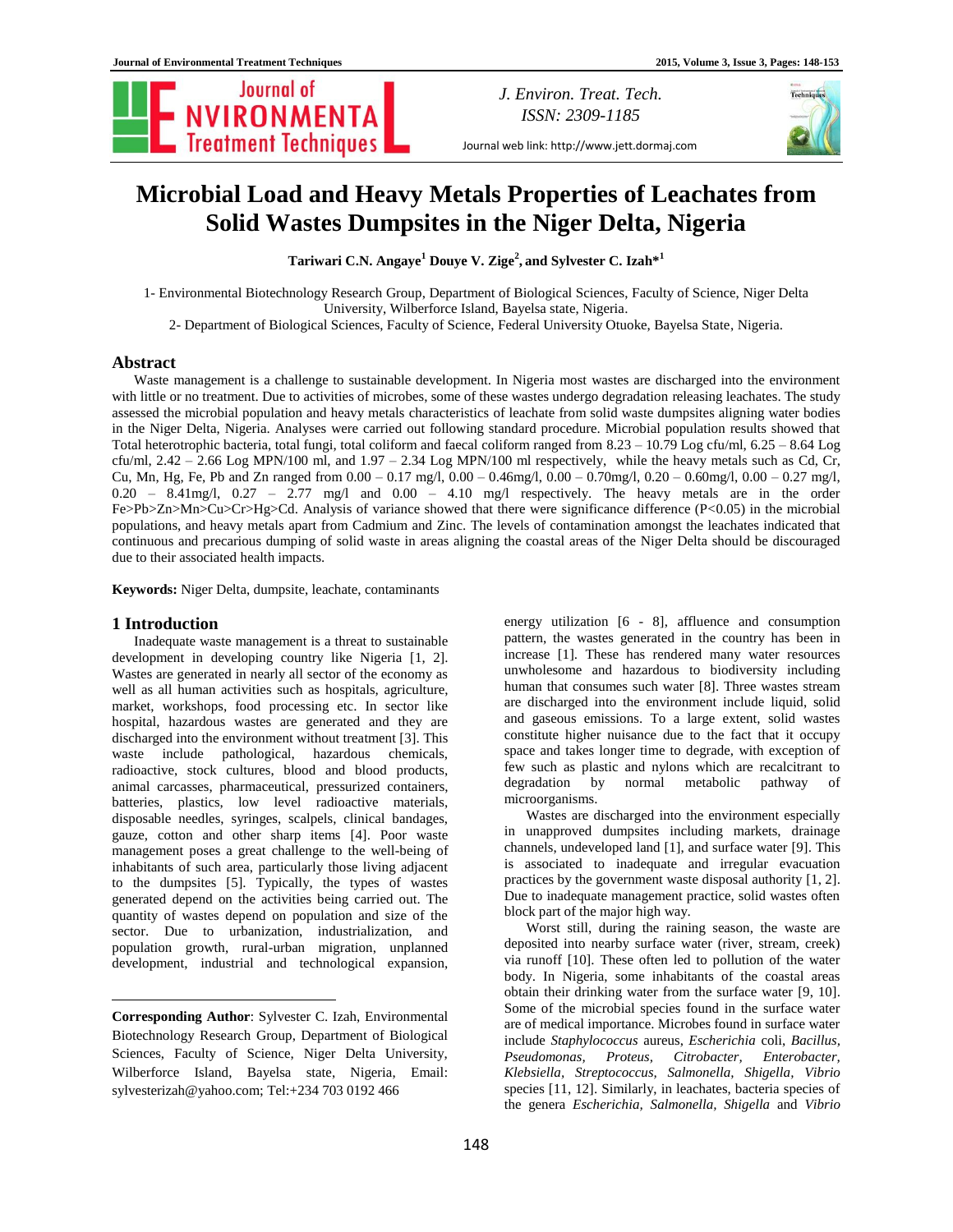Journal of NVIRONMENTA

*J. Environ. Treat. Tech. ISSN: 2309-1185*

Journal web link: http://www.jett.dormaj.com

# **Microbial Load and Heavy Metals Properties of Leachates from Solid Wastes Dumpsites in the Niger Delta, Nigeria**

**Tariwari C.N. Angaye<sup>1</sup> Douye V. Zige<sup>2</sup> , and Sylvester C. Izah\* 1**

1- Environmental Biotechnology Research Group, Department of Biological Sciences, Faculty of Science, Niger Delta University, Wilberforce Island, Bayelsa state, Nigeria.

2- Department of Biological Sciences, Faculty of Science, Federal University Otuoke, Bayelsa State, Nigeria.

# **Abstract**

Waste management is a challenge to sustainable development. In Nigeria most wastes are discharged into the environment with little or no treatment. Due to activities of microbes, some of these wastes undergo degradation releasing leachates. The study assessed the microbial population and heavy metals characteristics of leachate from solid waste dumpsites aligning water bodies in the Niger Delta, Nigeria. Analyses were carried out following standard procedure. Microbial population results showed that Total heterotrophic bacteria, total fungi, total coliform and faecal coliform ranged from 8.23 – 10.79 Log cfu/ml, 6.25 – 8.64 Log cfu/ml,  $2.42 - 2.66$  Log MPN/100 ml, and  $1.97 - 2.34$  Log MPN/100 ml respectively, while the heavy metals such as Cd, Cr, Cu, Mn, Hg, Fe, Pb and Zn ranged from 0.00 – 0.17 mg/l, 0.00 – 0.46mg/l, 0.00 – 0.70mg/l, 0.20 – 0.60mg/l, 0.00 – 0.27 mg/l, 0.20 – 8.41mg/l, 0.27 – 2.77 mg/l and 0.00 – 4.10 mg/l respectively. The heavy metals are in the order Fe>Pb>Zn>Mn>Cu>Cr>Hg>Cd. Analysis of variance showed that there were significance difference (P<0.05) in the microbial populations, and heavy metals apart from Cadmium and Zinc. The levels of contamination amongst the leachates indicated that continuous and precarious dumping of solid waste in areas aligning the coastal areas of the Niger Delta should be discouraged due to their associated health impacts.

**Keywords:** Niger Delta, dumpsite, leachate, contaminants

# **1 Introduction<sup>1</sup>**

 $\overline{\phantom{a}}$ 

Inadequate waste management is a threat to sustainable development in developing country like Nigeria [1, 2]. Wastes are generated in nearly all sector of the economy as well as all human activities such as hospitals, agriculture, market, workshops, food processing etc. In sector like hospital, hazardous wastes are generated and they are discharged into the environment without treatment [3]. This waste include pathological, hazardous chemicals, radioactive, stock cultures, blood and blood products, animal carcasses, pharmaceutical, pressurized containers, batteries, plastics, low level radioactive materials, disposable needles, syringes, scalpels, clinical bandages, gauze, cotton and other sharp items [4]. Poor waste management poses a great challenge to the well-being of inhabitants of such area, particularly those living adjacent to the dumpsites [5]. Typically, the types of wastes generated depend on the activities being carried out. The quantity of wastes depend on population and size of the sector. Due to urbanization, industrialization, and population growth, rural-urban migration, unplanned development, industrial and technological expansion,

**Corresponding Author**: Sylvester C. Izah, Environmental Biotechnology Research Group, Department of Biological Sciences, Faculty of Science, Niger Delta University, Wilberforce Island, Bayelsa state, Nigeria, Email: sylvesterizah@yahoo.com;<Tel:+234> 703 0192 466

energy utilization [6 - 8], affluence and consumption pattern, the wastes generated in the country has been in increase [1]. These has rendered many water resources unwholesome and hazardous to biodiversity including human that consumes such water [8]. Three wastes stream are discharged into the environment include liquid, solid and gaseous emissions. To a large extent, solid wastes constitute higher nuisance due to the fact that it occupy space and takes longer time to degrade, with exception of few such as plastic and nylons which are recalcitrant to degradation by normal metabolic pathway of microorganisms.

Wastes are discharged into the environment especially in unapproved dumpsites including markets, drainage channels, undeveloped land [1], and surface water [9]. This is associated to inadequate and irregular evacuation practices by the government waste disposal authority [1, 2]. Due to inadequate management practice, solid wastes often block part of the major high way.

Worst still, during the raining season, the waste are deposited into nearby surface water (river, stream, creek) via runoff [10]. These often led to pollution of the water body. In Nigeria, some inhabitants of the coastal areas obtain their drinking water from the surface water [9, 10]. Some of the microbial species found in the surface water are of medical importance. Microbes found in surface water include *Staphylococcus* aureus, *Escherichia* coli, *Bacillus, Pseudomonas, Proteus, Citrobacter, Enterobacter, Klebsiella, Streptococcus, Salmonella, Shigella, Vibrio*  species [11, 12]. Similarly, in leachates, bacteria species of the genera *Escherichia, Salmonella, Shigella* and *Vibrio*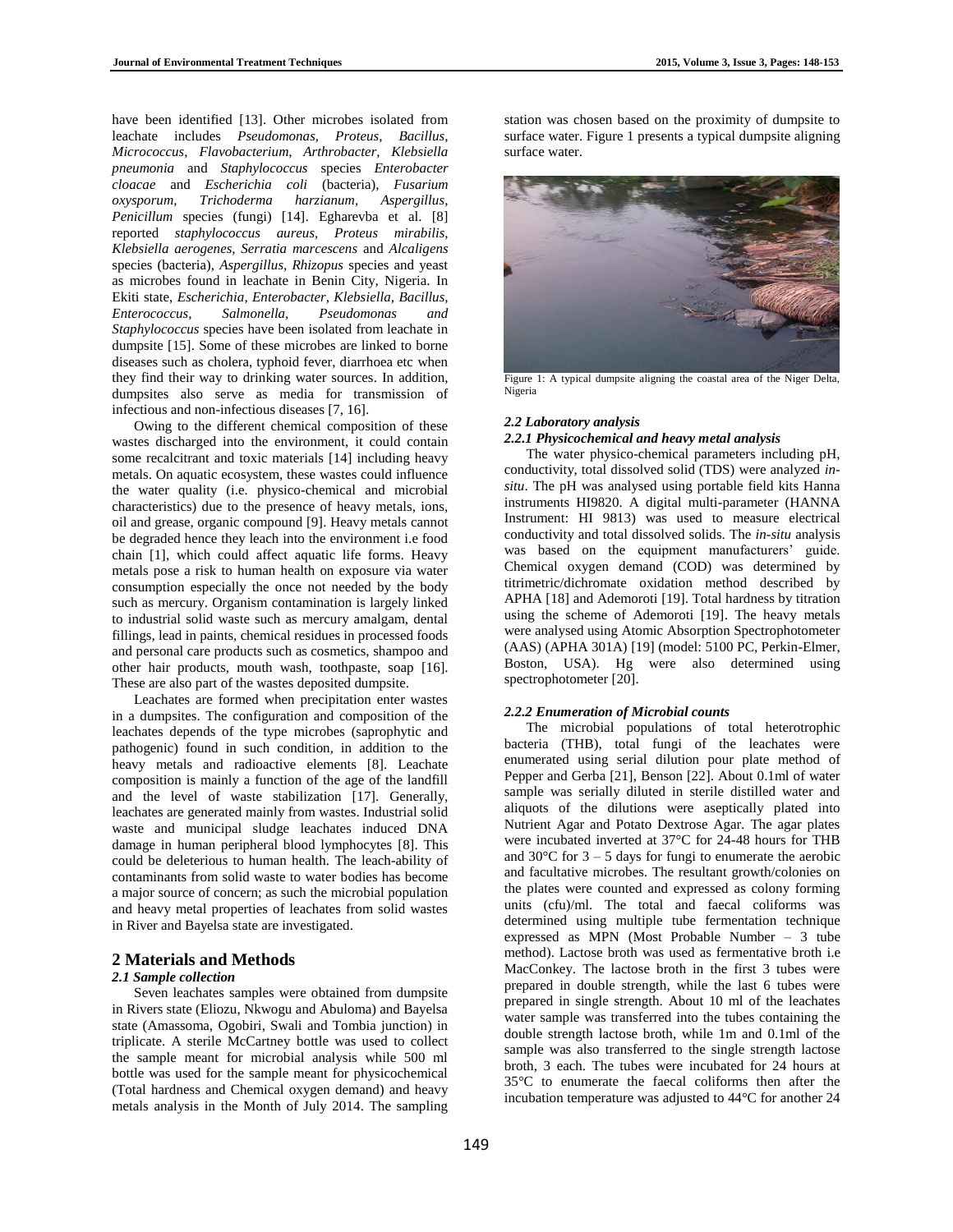have been identified [13]. Other microbes isolated from leachate includes *Pseudomonas, Proteus, Bacillus, Micrococcus*, *Flavobacterium, Arthrobacter, Klebsiella pneumonia* and *Staphylococcus* species *Enterobacter cloacae* and *Escherichia coli* (bacteria), *Fusarium oxysporum, Trichoderma harzianum, Aspergillus, Penicillum* species (fungi) [14]. Egharevba et al. [8] reported *staphylococcus aureus, Proteus mirabilis, Klebsiella aerogenes, Serratia marcescens* and *Alcaligens*  species (bacteria), *Aspergillus, Rhizopus* species and yeast as microbes found in leachate in Benin City, Nigeria. In Ekiti state, *Escherichia, Enterobacter, Klebsiella, Bacillus, Enterococcus, Salmonella, Pseudomonas and Staphylococcus* species have been isolated from leachate in dumpsite [15]. Some of these microbes are linked to borne diseases such as cholera, typhoid fever, diarrhoea etc when they find their way to drinking water sources. In addition, dumpsites also serve as media for transmission of infectious and non-infectious diseases [7, 16].

Owing to the different chemical composition of these wastes discharged into the environment, it could contain some recalcitrant and toxic materials [14] including heavy metals. On aquatic ecosystem, these wastes could influence the water quality (i.e. physico-chemical and microbial characteristics) due to the presence of heavy metals, ions, oil and grease, organic compound [9]. Heavy metals cannot be degraded hence they leach into the environment i.e food chain [1], which could affect aquatic life forms. Heavy metals pose a risk to human health on exposure via water consumption especially the once not needed by the body such as mercury. Organism contamination is largely linked to industrial solid waste such as mercury amalgam, dental fillings, lead in paints, chemical residues in processed foods and personal care products such as cosmetics, shampoo and other hair products, mouth wash, toothpaste, soap [16]. These are also part of the wastes deposited dumpsite.

Leachates are formed when precipitation enter wastes in a dumpsites. The configuration and composition of the leachates depends of the type microbes (saprophytic and pathogenic) found in such condition, in addition to the heavy metals and radioactive elements [8]. Leachate composition is mainly a function of the age of the landfill and the level of waste stabilization [17]. Generally, leachates are generated mainly from wastes. Industrial solid waste and municipal sludge leachates induced DNA damage in human peripheral blood lymphocytes [8]. This could be deleterious to human health. The leach-ability of contaminants from solid waste to water bodies has become a major source of concern; as such the microbial population and heavy metal properties of leachates from solid wastes in River and Bayelsa state are investigated.

# **2 Materials and Methods**

## *2.1 Sample collection*

Seven leachates samples were obtained from dumpsite in Rivers state (Eliozu, Nkwogu and Abuloma) and Bayelsa state (Amassoma, Ogobiri, Swali and Tombia junction) in triplicate. A sterile McCartney bottle was used to collect the sample meant for microbial analysis while 500 ml bottle was used for the sample meant for physicochemical (Total hardness and Chemical oxygen demand) and heavy metals analysis in the Month of July 2014. The sampling station was chosen based on the proximity of dumpsite to surface water. Figure 1 presents a typical dumpsite aligning surface water.



Figure 1: A typical dumpsite aligning the coastal area of the Niger Delta, Nigeria

# *2.2 Laboratory analysis*

# *2.2.1 Physicochemical and heavy metal analysis*

The water physico-chemical parameters including pH, conductivity, total dissolved solid (TDS) were analyzed *insitu*. The pH was analysed using portable field kits Hanna instruments HI9820. A digital multi-parameter (HANNA Instrument: HI 9813) was used to measure electrical conductivity and total dissolved solids. The *in-situ* analysis was based on the equipment manufacturers' guide. Chemical oxygen demand (COD) was determined by titrimetric/dichromate oxidation method described by APHA [18] and Ademoroti [19]. Total hardness by titration using the scheme of Ademoroti [19]. The heavy metals were analysed using Atomic Absorption Spectrophotometer (AAS) (APHA 301A) [19] (model: 5100 PC, Perkin-Elmer, Boston, USA). Hg were also determined using spectrophotometer [20].

# *2.2.2 Enumeration of Microbial counts*

The microbial populations of total heterotrophic bacteria (THB), total fungi of the leachates were enumerated using serial dilution pour plate method of Pepper and Gerba [21], Benson [22]. About 0.1ml of water sample was serially diluted in sterile distilled water and aliquots of the dilutions were aseptically plated into Nutrient Agar and Potato Dextrose Agar. The agar plates were incubated inverted at 37°C for 24-48 hours for THB and  $30^{\circ}$ C for  $3 - 5$  days for fungi to enumerate the aerobic and facultative microbes. The resultant growth/colonies on the plates were counted and expressed as colony forming units (cfu)/ml. The total and faecal coliforms was determined using multiple tube fermentation technique expressed as MPN (Most Probable Number – 3 tube method). Lactose broth was used as fermentative broth i.e MacConkey. The lactose broth in the first 3 tubes were prepared in double strength, while the last 6 tubes were prepared in single strength. About 10 ml of the leachates water sample was transferred into the tubes containing the double strength lactose broth, while 1m and 0.1ml of the sample was also transferred to the single strength lactose broth, 3 each. The tubes were incubated for 24 hours at 35°C to enumerate the faecal coliforms then after the incubation temperature was adjusted to 44°C for another 24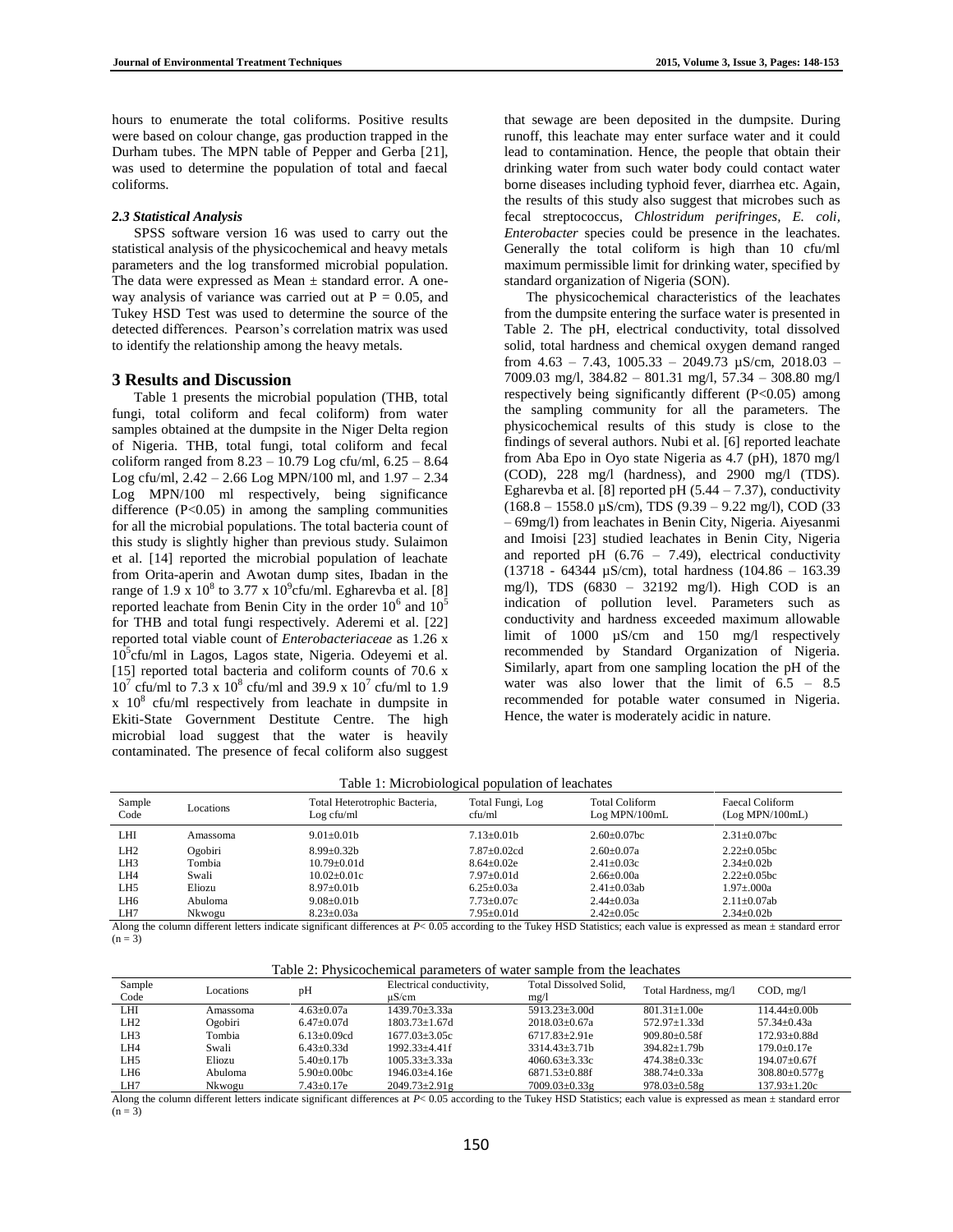hours to enumerate the total coliforms. Positive results were based on colour change, gas production trapped in the Durham tubes. The MPN table of Pepper and Gerba [21], was used to determine the population of total and faecal coliforms.

### *2.3 Statistical Analysis*

SPSS software version 16 was used to carry out the statistical analysis of the physicochemical and heavy metals parameters and the log transformed microbial population. The data were expressed as Mean  $\pm$  standard error. A oneway analysis of variance was carried out at  $P = 0.05$ , and Tukey HSD Test was used to determine the source of the detected differences. Pearson's correlation matrix was used to identify the relationship among the heavy metals.

# **3 Results and Discussion**

Table 1 presents the microbial population (THB, total fungi, total coliform and fecal coliform) from water samples obtained at the dumpsite in the Niger Delta region of Nigeria. THB, total fungi, total coliform and fecal coliform ranged from 8.23 – 10.79 Log cfu/ml, 6.25 – 8.64 Log cfu/ml, 2.42 – 2.66 Log MPN/100 ml, and 1.97 – 2.34 Log MPN/100 ml respectively, being significance difference  $(P<0.05)$  in among the sampling communities for all the microbial populations. The total bacteria count of this study is slightly higher than previous study. Sulaimon et al. [14] reported the microbial population of leachate from Orita-aperin and Awotan dump sites, Ibadan in the range of 1.9 x  $10^8$  to 3.77 x  $10^9$ cfu/ml. Egharevba et al. [8] reported leachate from Benin City in the order  $10^6$  and  $10^5$ for THB and total fungi respectively. Aderemi et al. [22] reported total viable count of *Enterobacteriaceae* as 1.26 x  $10^5$ cfu/ml in Lagos, Lagos state, Nigeria. Odeyemi et al. [15] reported total bacteria and coliform counts of 70.6 x  $10^7$  cfu/ml to 7.3 x  $10^8$  cfu/ml and 39.9 x  $10^7$  cfu/ml to 1.9  $x \times 10^8$  cfu/ml respectively from leachate in dumpsite in Ekiti-State Government Destitute Centre. The high microbial load suggest that the water is heavily contaminated. The presence of fecal coliform also suggest

that sewage are been deposited in the dumpsite. During runoff, this leachate may enter surface water and it could lead to contamination. Hence, the people that obtain their drinking water from such water body could contact water borne diseases including typhoid fever, diarrhea etc. Again, the results of this study also suggest that microbes such as fecal streptococcus, *Chlostridum perifringes, E. coli, Enterobacter* species could be presence in the leachates. Generally the total coliform is high than 10 cfu/ml maximum permissible limit for drinking water, specified by standard organization of Nigeria (SON).

The physicochemical characteristics of the leachates from the dumpsite entering the surface water is presented in Table 2. The pH, electrical conductivity, total dissolved solid, total hardness and chemical oxygen demand ranged from  $4.63 - 7.43$ ,  $1005.33 - 2049.73$   $\mu$ S/cm,  $2018.03 -$ 7009.03 mg/l, 384.82 – 801.31 mg/l, 57.34 – 308.80 mg/l respectively being significantly different (P<0.05) among the sampling community for all the parameters. The physicochemical results of this study is close to the findings of several authors. Nubi et al. [6] reported leachate from Aba Epo in Oyo state Nigeria as 4.7 (pH), 1870 mg/l (COD), 228 mg/l (hardness), and 2900 mg/l (TDS). Egharevba et al. [8] reported pH  $(5.44 - 7.37)$ , conductivity (168.8 – 1558.0 µS/cm), TDS (9.39 – 9.22 mg/l), COD (33 – 69mg/l) from leachates in Benin City, Nigeria. Aiyesanmi and Imoisi [23] studied leachates in Benin City, Nigeria and reported pH  $(6.76 - 7.49)$ , electrical conductivity (13718 - 64344 µS/cm), total hardness (104.86 – 163.39 mg/l), TDS (6830 – 32192 mg/l). High COD is an indication of pollution level. Parameters such as conductivity and hardness exceeded maximum allowable limit of 1000  $\mu$ S/cm and 150 mg/l respectively recommended by Standard Organization of Nigeria. Similarly, apart from one sampling location the pH of the water was also lower that the limit of 6.5 – 8.5 recommended for potable water consumed in Nigeria. Hence, the water is moderately acidic in nature.

#### Table 1: Microbiological population of leachates

| Sample<br>Code  | Locations | Total Heterotrophic Bacteria,<br>Log cfu/ml | Total Fungi, Log<br>cfu/ml | <b>Total Coliform</b><br>Log MPN/100mL | Faecal Coliform<br>(Log MPN/100mL) |
|-----------------|-----------|---------------------------------------------|----------------------------|----------------------------------------|------------------------------------|
| LHI             | Amassoma  | $9.01 \pm 0.01$                             | $7.13 \pm 0.01$ b          | $2.60 \pm 0.07$ bc                     | $2.31 \pm 0.07$ bc                 |
| LH <sub>2</sub> | Ogobiri   | $8.99 + 0.32h$                              | $7.87+0.02cd$              | $2.60+0.07a$                           | $2.22+0.05$ bc                     |
| LH <sub>3</sub> | Tombia    | $10.79 + 0.01d$                             | $8.64 + 0.02e$             | $2.41 \pm 0.03c$                       | $2.34 \pm 0.02 b$                  |
| LH4             | Swali     | $10.02 + 0.01c$                             | $7.97 \pm 0.01$ d          | $2.66 \pm 0.00a$                       | $2.22+0.05$ bc                     |
| LH5             | Eliozu    | $8.97 \pm 0.01$ b                           | $6.25 \pm 0.03a$           | $2.41 \pm 0.03$ ab                     | $1.97 \pm 0.000a$                  |
| LH6             | Abuloma   | $9.08 \pm 0.01$ b                           | $7.73 \pm 0.07c$           | $2.44 \pm 0.03a$                       | $2.11 \pm 0.07$ ab                 |
| LH7             | Nkwogu    | $8.23 \pm 0.03a$                            | $7.95 \pm 0.01d$           | $2.42 \pm 0.05c$                       | $2.34 \pm 0.02b$                   |

Along the column different letters indicate significant differences at *P*< 0.05 according to the Tukey HSD Statistics; each value is expressed as mean ± standard error  $(n = 3)$ 

Table 2: Physicochemical parameters of water sample from the leachates

| Sample<br>Code                                                                                                                                                              | Locations. | pH                 | Electrical conductivity,<br>$\mu$ S/cm | Total Dissolved Solid.<br>mg/l | Total Hardness, mg/l | COD, mg/l          |  |  |
|-----------------------------------------------------------------------------------------------------------------------------------------------------------------------------|------------|--------------------|----------------------------------------|--------------------------------|----------------------|--------------------|--|--|
| LHI                                                                                                                                                                         | Amassoma   | $4.63+0.07a$       | $1439.70 \pm 3.33a$                    | $5913.23 + 3.00d$              | $801.31 + 1.00e$     | $114.44 + 0.00b$   |  |  |
| LH <sub>2</sub>                                                                                                                                                             | Ogobiri    | $6.47+0.07d$       | $1803.73 + 1.67d$                      | $2018.03+0.67a$                | $572.97+1.33d$       | $57.34 \pm 0.43a$  |  |  |
| LH <sub>3</sub>                                                                                                                                                             | Tombia     | $6.13+0.09cd$      | $1677.03 + 3.05c$                      | $6717.83 + 2.91e$              | $909.80 + 0.58f$     | $172.93 + 0.88d$   |  |  |
| LH4                                                                                                                                                                         | Swali      | $6.43 + 0.33d$     | $1992.33 + 4.41f$                      | $3314.43 + 3.71h$              | $394.82 + 1.79h$     | $179.0 + 0.17e$    |  |  |
| LH <sub>5</sub>                                                                                                                                                             | Eliozu     | $5.40+0.17h$       | $1005.33 \pm 3.33a$                    | $4060.63 \pm 3.33c$            | $474.38 \pm 0.33c$   | $194.07 + 0.67f$   |  |  |
| LH6                                                                                                                                                                         | Abuloma    | $5.90 \pm 0.00$ bc | $1946.03 + 4.16e$                      | $6871.53 \pm 0.88$ f           | $388.74 \pm 0.33a$   | 308.80±0.577g      |  |  |
| LH7                                                                                                                                                                         | Nkwogu     | $7.43 \pm 0.17$ e  | $2049.73 \pm 2.91$ g                   | $7009.03 \pm 0.33$ g           | $978.03 \pm 0.58$ g  | $137.93 \pm 1.20c$ |  |  |
| Along the column different letters indicate significant differences at $P \le 0.05$ according to the Tukey HSD Statistics; each value is expressed as mean + standard error |            |                    |                                        |                                |                      |                    |  |  |

Along the column different letters indicate significant differences at  $P< 0.05$  according to the Tukey HSD Statistics; each value is expressed as mean  $\pm$  standard error  $(n = 3)$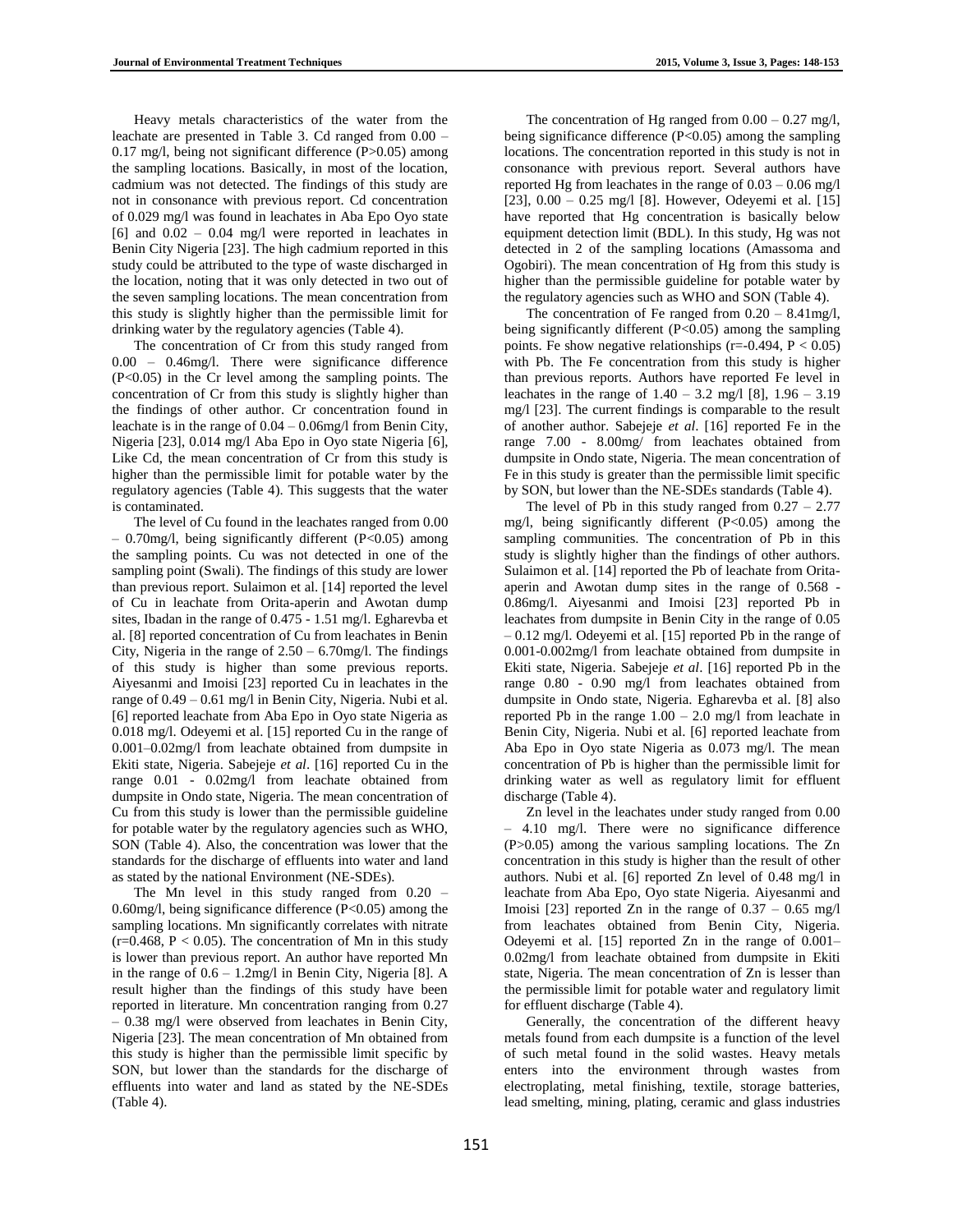Heavy metals characteristics of the water from the leachate are presented in Table 3. Cd ranged from 0.00 – 0.17 mg/l, being not significant difference (P>0.05) among the sampling locations. Basically, in most of the location, cadmium was not detected. The findings of this study are not in consonance with previous report. Cd concentration of 0.029 mg/l was found in leachates in Aba Epo Oyo state  $[6]$  and  $0.02 - 0.04$  mg/l were reported in leachates in Benin City Nigeria [23]. The high cadmium reported in this study could be attributed to the type of waste discharged in the location, noting that it was only detected in two out of the seven sampling locations. The mean concentration from this study is slightly higher than the permissible limit for drinking water by the regulatory agencies (Table 4).

The concentration of Cr from this study ranged from 0.00 – 0.46mg/l. There were significance difference (P<0.05) in the Cr level among the sampling points. The concentration of Cr from this study is slightly higher than the findings of other author. Cr concentration found in leachate is in the range of 0.04 – 0.06mg/l from Benin City, Nigeria [23], 0.014 mg/l Aba Epo in Oyo state Nigeria [6], Like Cd, the mean concentration of Cr from this study is higher than the permissible limit for potable water by the regulatory agencies (Table 4). This suggests that the water is contaminated.

The level of Cu found in the leachates ranged from 0.00  $-$  0.70mg/l, being significantly different (P<0.05) among the sampling points. Cu was not detected in one of the sampling point (Swali). The findings of this study are lower than previous report. Sulaimon et al. [14] reported the level of Cu in leachate from Orita-aperin and Awotan dump sites, Ibadan in the range of 0.475 - 1.51 mg/l. Egharevba et al. [8] reported concentration of Cu from leachates in Benin City, Nigeria in the range of  $2.50 - 6.70$  mg/l. The findings of this study is higher than some previous reports. Aiyesanmi and Imoisi [23] reported Cu in leachates in the range of 0.49 – 0.61 mg/l in Benin City, Nigeria. Nubi et al. [6] reported leachate from Aba Epo in Oyo state Nigeria as 0.018 mg/l. Odeyemi et al. [15] reported Cu in the range of 0.001–0.02mg/l from leachate obtained from dumpsite in Ekiti state, Nigeria. Sabejeje *et al*. [16] reported Cu in the range 0.01 - 0.02mg/l from leachate obtained from dumpsite in Ondo state, Nigeria. The mean concentration of Cu from this study is lower than the permissible guideline for potable water by the regulatory agencies such as WHO, SON (Table 4). Also, the concentration was lower that the standards for the discharge of effluents into water and land as stated by the national Environment (NE-SDEs).

The Mn level in this study ranged from 0.20 – 0.60mg/l, being significance difference (P<0.05) among the sampling locations. Mn significantly correlates with nitrate (r=0.468,  $P < 0.05$ ). The concentration of Mn in this study is lower than previous report. An author have reported Mn in the range of  $0.6 - 1.2$ mg/l in Benin City, Nigeria [8]. A result higher than the findings of this study have been reported in literature. Mn concentration ranging from 0.27 – 0.38 mg/l were observed from leachates in Benin City, Nigeria [23]. The mean concentration of Mn obtained from this study is higher than the permissible limit specific by SON, but lower than the standards for the discharge of effluents into water and land as stated by the NE-SDEs (Table 4).

The concentration of Hg ranged from  $0.00 - 0.27$  mg/l, being significance difference (P<0.05) among the sampling locations. The concentration reported in this study is not in consonance with previous report. Several authors have reported Hg from leachates in the range of 0.03 – 0.06 mg/l [23],  $0.00 - 0.25$  mg/l [8]. However, Odeyemi et al. [15] have reported that Hg concentration is basically below equipment detection limit (BDL). In this study, Hg was not detected in 2 of the sampling locations (Amassoma and Ogobiri). The mean concentration of Hg from this study is higher than the permissible guideline for potable water by the regulatory agencies such as WHO and SON (Table 4).

The concentration of Fe ranged from  $0.20 - 8.41$  mg/l, being significantly different (P<0.05) among the sampling points. Fe show negative relationships ( $r = -0.494$ ,  $P < 0.05$ ) with Pb. The Fe concentration from this study is higher than previous reports. Authors have reported Fe level in leachates in the range of  $1.40 - 3.2$  mg/l [8],  $1.96 - 3.19$ mg/l [23]. The current findings is comparable to the result of another author. Sabejeje *et al*. [16] reported Fe in the range 7.00 - 8.00mg/ from leachates obtained from dumpsite in Ondo state, Nigeria. The mean concentration of Fe in this study is greater than the permissible limit specific by SON, but lower than the NE-SDEs standards (Table 4).

The level of Pb in this study ranged from  $0.27 - 2.77$ mg/l, being significantly different (P<0.05) among the sampling communities. The concentration of Pb in this study is slightly higher than the findings of other authors. Sulaimon et al. [14] reported the Pb of leachate from Oritaaperin and Awotan dump sites in the range of 0.568 - 0.86mg/l. Aiyesanmi and Imoisi [23] reported Pb in leachates from dumpsite in Benin City in the range of 0.05 – 0.12 mg/l. Odeyemi et al. [15] reported Pb in the range of 0.001-0.002mg/l from leachate obtained from dumpsite in Ekiti state, Nigeria. Sabejeje *et al*. [16] reported Pb in the range 0.80 - 0.90 mg/l from leachates obtained from dumpsite in Ondo state, Nigeria. Egharevba et al. [8] also reported Pb in the range  $1.00 - 2.0$  mg/l from leachate in Benin City, Nigeria. Nubi et al. [6] reported leachate from Aba Epo in Oyo state Nigeria as 0.073 mg/l. The mean concentration of Pb is higher than the permissible limit for drinking water as well as regulatory limit for effluent discharge (Table 4).

Zn level in the leachates under study ranged from 0.00 – 4.10 mg/l. There were no significance difference (P>0.05) among the various sampling locations. The Zn concentration in this study is higher than the result of other authors. Nubi et al. [6] reported Zn level of 0.48 mg/l in leachate from Aba Epo, Oyo state Nigeria. Aiyesanmi and Imoisi [23] reported Zn in the range of  $0.37 - 0.65$  mg/l from leachates obtained from Benin City, Nigeria. Odeyemi et al. [15] reported Zn in the range of 0.001– 0.02mg/l from leachate obtained from dumpsite in Ekiti state, Nigeria. The mean concentration of Zn is lesser than the permissible limit for potable water and regulatory limit for effluent discharge (Table 4).

Generally, the concentration of the different heavy metals found from each dumpsite is a function of the level of such metal found in the solid wastes. Heavy metals enters into the environment through wastes from electroplating, metal finishing, textile, storage batteries, lead smelting, mining, plating, ceramic and glass industries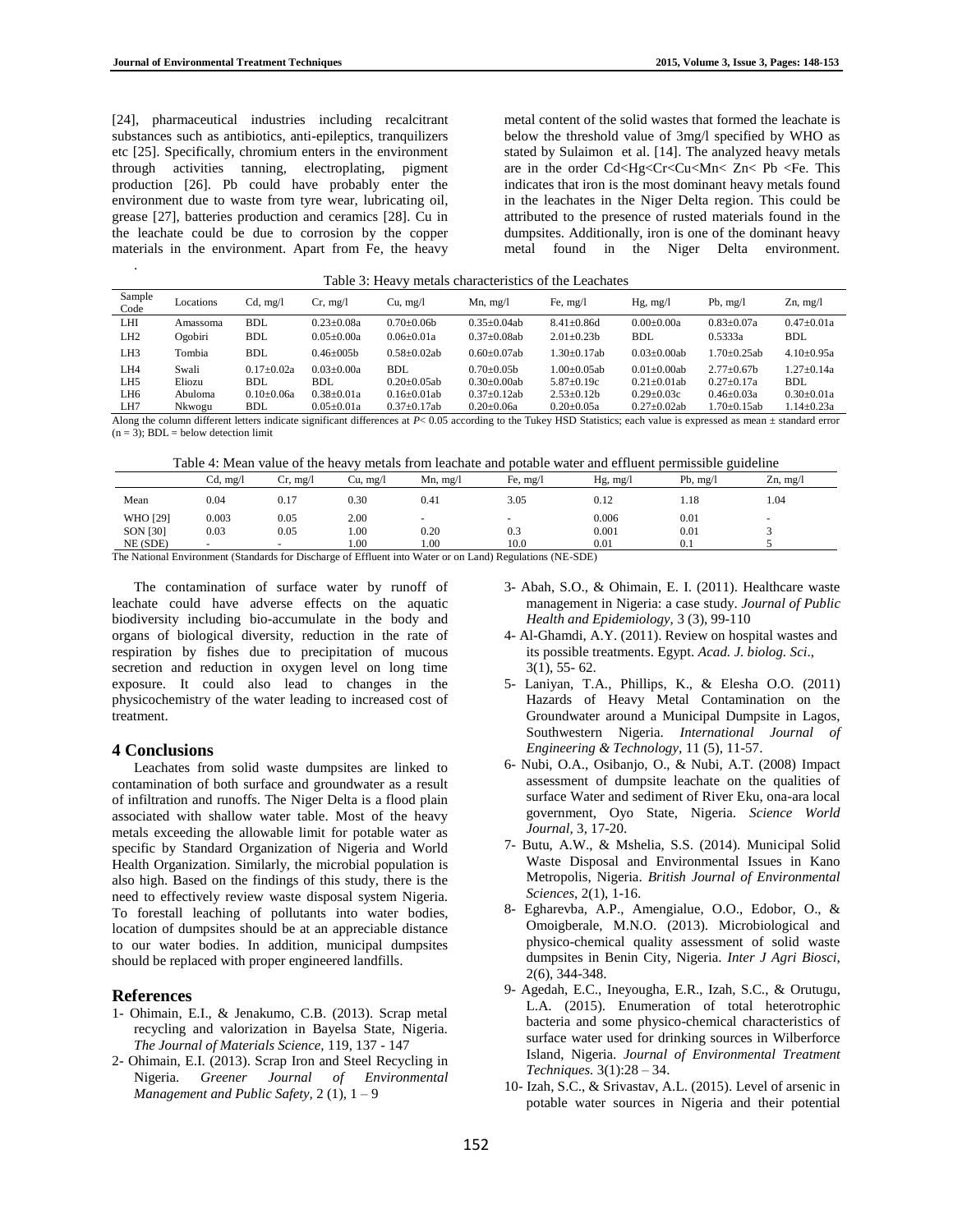[24], pharmaceutical industries including recalcitrant substances such as antibiotics, anti-epileptics, tranquilizers etc [25]. Specifically, chromium enters in the environment through activities tanning, electroplating, pigment production [26]. Pb could have probably enter the environment due to waste from tyre wear, lubricating oil, grease [27], batteries production and ceramics [28]. Cu in the leachate could be due to corrosion by the copper materials in the environment. Apart from Fe, the heavy

metal content of the solid wastes that formed the leachate is below the threshold value of 3mg/l specified by WHO as stated by Sulaimon et al. [14]. The analyzed heavy metals are in the order Cd<Hg<Cr<Cu<Mn< Zn< Pb <Fe. This indicates that iron is the most dominant heavy metals found in the leachates in the Niger Delta region. This could be attributed to the presence of rusted materials found in the dumpsites. Additionally, iron is one of the dominant heavy metal found in the Niger Delta environment.

| Table 3: Heavy metals characteristics of the Leachates |  |  |  |  |  |
|--------------------------------------------------------|--|--|--|--|--|
|--------------------------------------------------------|--|--|--|--|--|

| Sample<br>Code                                                                                                                                                                | Locations | $Cd$ , mg/l  | Cr, mg/l         | Cu, mg/l           | $Mn$ , mg/l      | Fe, $mg/l$       | $Hg$ , mg/l        | Pb, $mg/l$         | $Zn$ , mg/l      |
|-------------------------------------------------------------------------------------------------------------------------------------------------------------------------------|-----------|--------------|------------------|--------------------|------------------|------------------|--------------------|--------------------|------------------|
| LHI                                                                                                                                                                           | Amassoma  | <b>BDL</b>   | $0.23 + 0.08a$   | $0.70+0.06b$       | $0.35+0.04ab$    | $8.41 + 0.86d$   | $0.00+0.00a$       | $0.83 + 0.07a$     | $0.47 + 0.01a$   |
| LH <sub>2</sub>                                                                                                                                                               | Ogobiri   | <b>BDL</b>   | $0.05 + 0.00a$   | $0.06 \pm 0.01a$   | $0.37+0.08ab$    | $2.01 + 0.23h$   | <b>BDL</b>         | 0.5333a            | <b>BDL</b>       |
| LH <sub>3</sub>                                                                                                                                                               | Tombia    | <b>BDL</b>   | $0.46 + 005h$    | $0.58 \pm 0.02$ ab | $0.60 + 0.07$ ab | $1.30 + 0.17$ ab | $0.03 \pm 0.00$ ab | $1.70 \pm 0.25$ ab | $4.10 \pm 0.95a$ |
| LH4                                                                                                                                                                           | Swali     | $0.17+0.02a$ | $0.03 + 0.00a$   | BDL                | $0.70 + 0.05h$   | $1.00+0.05ab$    | $0.01 + 0.00$ ab   | $2.77+0.67h$       | $1.27+0.14a$     |
| LH <sub>5</sub>                                                                                                                                                               | Eliozu    | BDL.         | BDL.             | $0.20 + 0.05$ ab   | $0.30+0.00ab$    | $5.87+0.19c$     | $0.21 + 0.01$ ab   | $0.27+0.17a$       | BDL              |
| LH <sub>6</sub>                                                                                                                                                               | Abuloma   | $0.10+0.06a$ | $0.38 + 0.01a$   | $0.16 \pm 0.01$ ab | $0.37+0.12ab$    | $2.53+0.12h$     | $0.29 + 0.03c$     | $0.46 \pm 0.03a$   | $0.30 \pm 0.01a$ |
| LH7                                                                                                                                                                           | Nkwogu    | <b>BDL</b>   | $0.05 \pm 0.01a$ | $0.37 \pm 0.17$ ab | $0.20 \pm 0.06a$ | $0.20 + 0.05a$   | $0.27 \pm 0.02$ ab | $1.70 \pm 0.15$ ab | $1.14 \pm 0.23a$ |
| Along the column different letters indicate significant differences at $P < 0.05$ according to the Tukey HSD Statistics; each value is expressed as mean $\pm$ standard error |           |              |                  |                    |                  |                  |                    |                    |                  |

 $(n = 3)$ : BDL = below detection limit

.

Table 4: Mean value of the heavy metals from leachate and potable water and effluent permissible guideline

|                 | Cd, mg/l             | Cr, mg/l         | Cu, mg/l | $Mn$ , mg/l              | Fe, $mg/l$                | $Hg$ , mg/l | Pb, $mg/l$ | $Zn$ , mg/l              |
|-----------------|----------------------|------------------|----------|--------------------------|---------------------------|-------------|------------|--------------------------|
| Mean            | 0.04                 | 0.17             | 0.30     | 0.41                     | 3.05                      | 0.12        | 1.18       | 1.04                     |
| <b>WHO</b> [29] | 0.003                | 0.05             | 2.00     | $\overline{\phantom{a}}$ | $\overline{\phantom{a}}$  | 0.006       | 0.01       | $\overline{\phantom{a}}$ |
| <b>SON [30]</b> | 0.03                 | 0.05             | 1.00     | 0.20                     | 0.3                       | 0.001       | 0.01       |                          |
| NE (SDE)        | -                    | -                | 1.00     | 1.00                     | 10.0                      | 0.01        | 0.1        |                          |
| $\sim$<br>.     | $\sim$ $\sim$ $\sim$ | $\sim$<br>$\sim$ | $c = c$  |                          | $\sim$ $\sim$<br>$\cdots$ | $ATF-ATF$   |            |                          |

The National Environment (Standards for Discharge of Effluent into Water or on Land) Regulations (NE-SDE)

The contamination of surface water by runoff of leachate could have adverse effects on the aquatic biodiversity including bio-accumulate in the body and organs of biological diversity, reduction in the rate of respiration by fishes due to precipitation of mucous secretion and reduction in oxygen level on long time exposure. It could also lead to changes in the physicochemistry of the water leading to increased cost of treatment.

## **4 Conclusions**

Leachates from solid waste dumpsites are linked to contamination of both surface and groundwater as a result of infiltration and runoffs. The Niger Delta is a flood plain associated with shallow water table. Most of the heavy metals exceeding the allowable limit for potable water as specific by Standard Organization of Nigeria and World Health Organization. Similarly, the microbial population is also high. Based on the findings of this study, there is the need to effectively review waste disposal system Nigeria. To forestall leaching of pollutants into water bodies, location of dumpsites should be at an appreciable distance to our water bodies. In addition, municipal dumpsites should be replaced with proper engineered landfills.

# **References**

- 1- Ohimain, E.I., & Jenakumo, C.B. (2013). Scrap metal recycling and valorization in Bayelsa State, Nigeria. *The Journal of Materials Science,* 119, 137 - 147
- 2- Ohimain, E.I. (2013). Scrap Iron and Steel Recycling in Nigeria. *Greener Journal of Environmental Management and Public Safety,* 2 (1), 1 – 9
- 3- Abah, S.O., & Ohimain, E. I. (2011). Healthcare waste management in Nigeria: a case study. *Journal of Public Health and Epidemiology,* 3 (3), 99-110
- 4- Al-Ghamdi, A.Y. (2011). Review on hospital wastes and its possible treatments. Egypt. *Acad. J. biolog. Sci*., 3(1), 55- 62.
- 5- Laniyan, T.A., Phillips, K., & Elesha O.O. (2011) Hazards of Heavy Metal Contamination on the Groundwater around a Municipal Dumpsite in Lagos, Southwestern Nigeria. *International Journal of Engineering & Technology,* 11 (5), 11-57.
- 6- Nubi, O.A., Osibanjo, O., & Nubi, A.T. (2008) Impact assessment of dumpsite leachate on the qualities of surface Water and sediment of River Eku, ona-ara local government, Oyo State, Nigeria. *Science World Journal,* 3, 17-20.
- 7- Butu, A.W., & Mshelia, S.S. (2014). Municipal Solid Waste Disposal and Environmental Issues in Kano Metropolis, Nigeria. *British Journal of Environmental Sciences*, 2(1), 1-16.
- 8- Egharevba, A.P., Amengialue, O.O., Edobor, O., & Omoigberale, M.N.O. (2013). Microbiological and physico-chemical quality assessment of solid waste dumpsites in Benin City, Nigeria. *Inter J Agri Biosci,* 2(6), 344-348.
- 9- Agedah, E.C., Ineyougha, E.R., Izah, S.C., & Orutugu, L.A. (2015). Enumeration of total heterotrophic bacteria and some physico-chemical characteristics of surface water used for drinking sources in Wilberforce Island, Nigeria. *Journal of Environmental Treatment Techniques.* 3(1):28 – 34.
- 10- Izah, S.C., & Srivastav, A.L. (2015). Level of arsenic in potable water sources in Nigeria and their potential